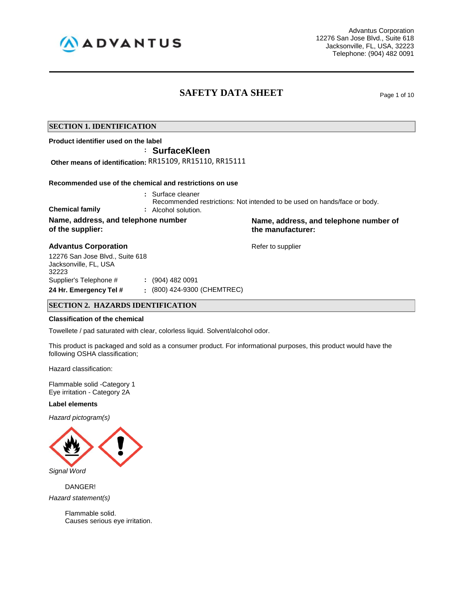

Advantus Corporation 12276 San Jose Blvd., Suite 618 Jacksonville, FL, USA, 32223 Telephone: (904) 482 0091

# **SAFETY DATA SHEET** Page 1 of 10

# **SECTION 1. IDENTIFICATION**

**Product identifier used on the label**

**: SurfaceKleen**

**Other means of identification:** RR15109, RR15110, RR15111

## **Recommended use of the chemical and restrictions on use**

**:** Surface cleaner

Recommended restrictions: Not intended to be used on hands/face or body.

**Chemical family :** Alcohol solution. **Name, address, and telephone number of the supplier:**

# **Advantus Corporation Advantus Corporation Refer to supplier**

12276 San Jose Blvd., Suite 618 Jacksonville, FL, USA 32223 Supplier's Telephone # **:** (904) 482 0091 **24 Hr. Emergency Tel # :** (800) 424-9300 (CHEMTREC)

# **SECTION 2. HAZARDS IDENTIFICATION**

#### **Classification of the chemical**

Towellete / pad saturated with clear, colorless liquid. Solvent/alcohol odor.

This product is packaged and sold as a consumer product. For informational purposes, this product would have the following OSHA classification;

Hazard classification:

Flammable solid -Category 1 Eye irritation - Category 2A

# **Label elements**

*Hazard pictogram(s)*



DANGER!

*Hazard statement(s)*

Flammable solid. Causes serious eye irritation. **Name, address, and telephone number of the manufacturer:**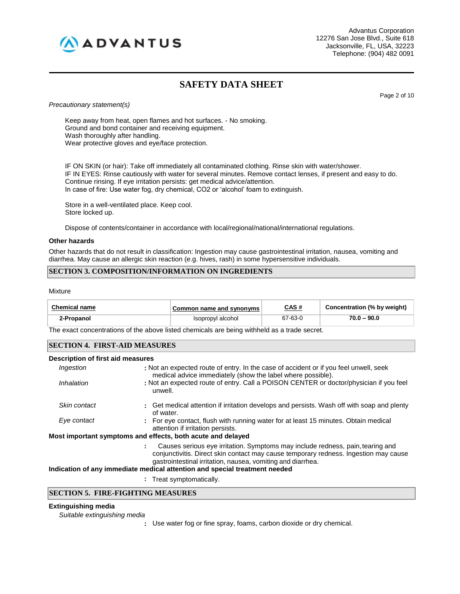

Advantus Corporation 12276 San Jose Blvd., Suite 618 Jacksonville, FL, USA, 32223 Telephone: (904) 482 0091

# **SAFETY DATA SHEET**

Page 2 of 10

*Precautionary statement(s)*

Keep away from heat, open flames and hot surfaces. - No smoking. Ground and bond container and receiving equipment. Wash thoroughly after handling. Wear protective gloves and eye/face protection.

IF ON SKIN (or hair): Take off immediately all contaminated clothing. Rinse skin with water/shower. IF IN EYES: Rinse cautiously with water for several minutes. Remove contact lenses, if present and easy to do. Continue rinsing. If eye irritation persists: get medical advice/attention. In case of fire: Use water fog, dry chemical, CO2 or 'alcohol' foam to extinguish.

Store in a well-ventilated place. Keep cool. Store locked up.

Dispose of contents/container in accordance with local/regional/national/international regulations.

## **Other hazards**

Other hazards that do not result in classification: Ingestion may cause gastrointestinal irritation, nausea, vomiting and diarrhea. May cause an allergic skin reaction (e.g. hives, rash) in some hypersensitive individuals.

# **SECTION 3. COMPOSITION/INFORMATION ON INGREDIENTS**

**Mixture** 

| <b>Chemical name</b> | Common name and synonyms | CAS #   | Concentration (% by weight) |
|----------------------|--------------------------|---------|-----------------------------|
| 2-Propanol           | Isopropyl alcohol        | 67-63-0 | $70.0 - 90.0$               |

The exact concentrations of the above listed chemicals are being withheld as a trade secret.

# **SECTION 4. FIRST-AID MEASURES**

#### **Description of first aid measures**

| Ingestion    | : Not an expected route of entry. In the case of accident or if you feel unwell, seek<br>medical advice immediately (show the label where possible).                                                                                  |
|--------------|---------------------------------------------------------------------------------------------------------------------------------------------------------------------------------------------------------------------------------------|
| Inhalation   | : Not an expected route of entry. Call a POISON CENTER or doctor/physician if you feel<br>unwell.                                                                                                                                     |
| Skin contact | : Get medical attention if irritation develops and persists. Wash off with soap and plenty<br>of water.                                                                                                                               |
| Eye contact  | : For eye contact, flush with running water for at least 15 minutes. Obtain medical<br>attention if irritation persists.                                                                                                              |
|              | Most important symptoms and effects, both acute and delayed                                                                                                                                                                           |
|              | Causes serious eye irritation. Symptoms may include redness, pain, tearing and<br>conjunctivitis. Direct skin contact may cause temporary redness. Ingestion may cause<br>gastrointestinal irritation, nausea, vomiting and diarrhea. |

#### **Indication of any immediate medical attention and special treatment needed**

**:** Treat symptomatically.

# **SECTION 5. FIRE-FIGHTING MEASURES**

# **Extinguishing media**

*Suitable extinguishing media*

**:** Use water fog or fine spray, foams, carbon dioxide or dry chemical.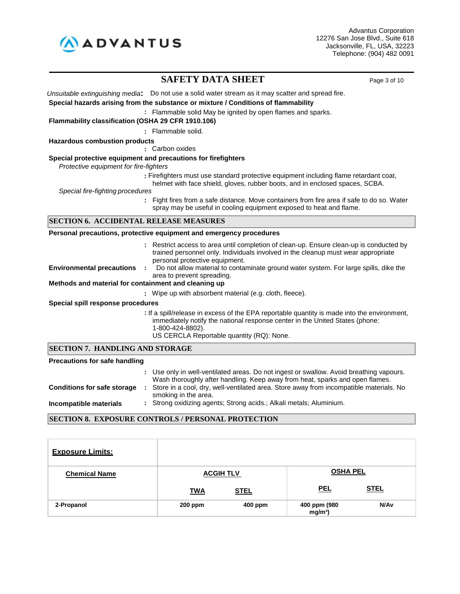

# **SAFETY DATA SHEET** Page 3 of 10

*Unsuitable extinguishing media***:** Do not use a solid water stream as it may scatter and spread fire.

### **Special hazards arising from the substance or mixture / Conditions of flammability**

**:** Flammable solid May be ignited by open flames and sparks.

**Flammability classification (OSHA 29 CFR 1910.106)**

**:** Flammable solid.

**Hazardous combustion products**

**:** Carbon oxides

## **Special protective equipment and precautions for firefighters**

*Protective equipment for fire-fighters*

**:** Firefighters must use standard protective equipment including flame retardant coat, helmet with face shield, gloves, rubber boots, and in enclosed spaces, SCBA.

*Special fire-fighting procedures*

**:** Fight fires from a safe distance. Move containers from fire area if safe to do so. Water spray may be useful in cooling equipment exposed to heat and flame.

## **SECTION 6. ACCIDENTAL RELEASE MEASURES**

#### **Personal precautions, protective equipment and emergency procedures**

**:** Restrict access to area until completion of clean-up. Ensure clean-up is conducted by trained personnel only. Individuals involved in the cleanup must wear appropriate personal protective equipment.

**Environmental precautions :** Do not allow material to contaminate ground water system. For large spills, dike the area to prevent spreading.

## **Methods and material for containment and cleaning up**

**:** Wipe up with absorbent material (e.g. cloth, fleece).

#### **Special spill response procedures**

**:** If a spill/release in excess of the EPA reportable quantity is made into the environment, immediately notify the national response center in the United States (phone: 1-800-424-8802). US CERCLA Reportable quantity (RQ): None.

## **SECTION 7. HANDLING AND STORAGE**

#### **Precautions for safe handling : Conditions for safe storage : Incompatible materials :** Use only in well-ventilated areas. Do not ingest or swallow. Avoid breathing vapours. Wash thoroughly after handling. Keep away from heat, sparks and open flames. Store in a cool, dry, well-ventilated area. Store away from incompatible materials. No smoking in the area. Strong oxidizing agents; Strong acids.; Alkali metals; Aluminium.

# **SECTION 8. EXPOSURE CONTROLS / PERSONAL PROTECTION**

| <b>Exposure Limits:</b> |                  |             |                            |                  |
|-------------------------|------------------|-------------|----------------------------|------------------|
| <b>Chemical Name</b>    | <b>ACGIH TLV</b> |             | <b>OSHA PEL</b>            |                  |
|                         | <b>TWA</b>       | <b>STEL</b> | <b>PEL</b>                 | <b>STEL</b>      |
| 2-Propanol              | $200$ ppm        | 400 ppm     | 400 ppm (980<br>$mg/m^3$ ) | N/A <sub>v</sub> |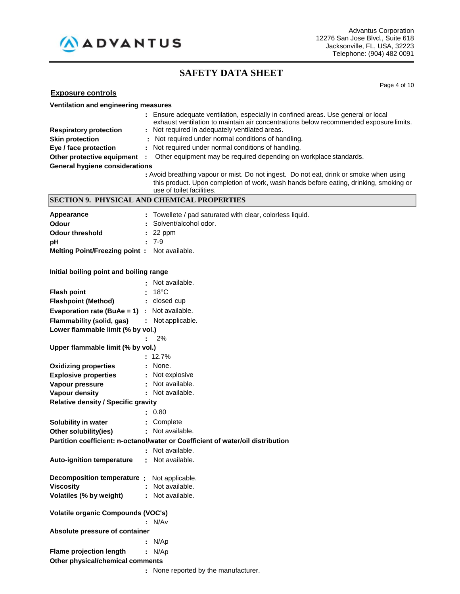

Page 4 of 10

| <b>Exposure controls</b> |
|--------------------------|
|--------------------------|

| Ventilation and engineering measures                |                                                                                                                                                                            |  |  |
|-----------------------------------------------------|----------------------------------------------------------------------------------------------------------------------------------------------------------------------------|--|--|
|                                                     | : Ensure adequate ventilation, especially in confined areas. Use general or local<br>exhaust ventilation to maintain air concentrations below recommended exposure limits. |  |  |
| <b>Respiratory protection</b>                       | : Not required in adequately ventilated areas.<br>: Not required under normal conditions of handling.                                                                      |  |  |
| <b>Skin protection</b>                              |                                                                                                                                                                            |  |  |
| Eye / face protection                               | : Not required under normal conditions of handling.                                                                                                                        |  |  |
| Other protective equipment :                        | Other equipment may be required depending on workplace standards.                                                                                                          |  |  |
| <b>General hygiene considerations</b>               | : Avoid breathing vapour or mist. Do not ingest. Do not eat, drink or smoke when using                                                                                     |  |  |
|                                                     | this product. Upon completion of work, wash hands before eating, drinking, smoking or<br>use of toilet facilities.                                                         |  |  |
|                                                     | <b>SECTION 9. PHYSICAL AND CHEMICAL PROPERTIES</b>                                                                                                                         |  |  |
|                                                     |                                                                                                                                                                            |  |  |
| Appearance<br><b>Odour</b>                          | : Towellete / pad saturated with clear, colorless liquid.<br>Solvent/alcohol odor.                                                                                         |  |  |
|                                                     |                                                                                                                                                                            |  |  |
| <b>Odour threshold</b>                              | $: 22$ ppm<br>$: 7-9$                                                                                                                                                      |  |  |
| рH                                                  |                                                                                                                                                                            |  |  |
| Melting Point/Freezing point: Not available.        |                                                                                                                                                                            |  |  |
| Initial boiling point and boiling range             |                                                                                                                                                                            |  |  |
|                                                     |                                                                                                                                                                            |  |  |
|                                                     | Not available.                                                                                                                                                             |  |  |
| <b>Flash point</b>                                  | $18^{\circ}$ C                                                                                                                                                             |  |  |
| <b>Flashpoint (Method)</b>                          | : closed cup                                                                                                                                                               |  |  |
| <b>Evaporation rate (BuAe = 1)</b> : Not available. |                                                                                                                                                                            |  |  |
| Flammability (solid, gas)                           | : Not applicable.                                                                                                                                                          |  |  |
| Lower flammable limit (% by vol.)                   |                                                                                                                                                                            |  |  |
|                                                     | 2%                                                                                                                                                                         |  |  |
| Upper flammable limit (% by vol.)                   |                                                                                                                                                                            |  |  |
|                                                     | $: 12.7\%$                                                                                                                                                                 |  |  |
| <b>Oxidizing properties</b>                         | None.                                                                                                                                                                      |  |  |
| <b>Explosive properties</b>                         | : Not explosive                                                                                                                                                            |  |  |
| Vapour pressure                                     | : Not available.                                                                                                                                                           |  |  |
| <b>Vapour density</b>                               | : Not available.                                                                                                                                                           |  |  |
| <b>Relative density / Specific gravity</b>          |                                                                                                                                                                            |  |  |
|                                                     | : 0.80                                                                                                                                                                     |  |  |
| Solubility in water                                 | : Complete                                                                                                                                                                 |  |  |
| Other solubility(ies)                               | : Not available.                                                                                                                                                           |  |  |
|                                                     | Partition coefficient: n-octanol/water or Coefficient of water/oil distribution                                                                                            |  |  |
|                                                     | Not available.                                                                                                                                                             |  |  |
| <b>Auto-ignition temperature</b>                    | Not available.                                                                                                                                                             |  |  |
|                                                     |                                                                                                                                                                            |  |  |
| Decomposition temperature:                          | Not applicable.                                                                                                                                                            |  |  |
| <b>Viscosity</b>                                    | Not available.                                                                                                                                                             |  |  |
| Volatiles (% by weight)                             | Not available.                                                                                                                                                             |  |  |
| <b>Volatile organic Compounds (VOC's)</b>           |                                                                                                                                                                            |  |  |
|                                                     | N/Av                                                                                                                                                                       |  |  |
| Absolute pressure of container                      |                                                                                                                                                                            |  |  |
|                                                     | N/Ap                                                                                                                                                                       |  |  |
| <b>Flame projection length</b>                      | : N/Ap                                                                                                                                                                     |  |  |
| Other physical/chemical comments                    |                                                                                                                                                                            |  |  |

**:** None reported by the manufacturer.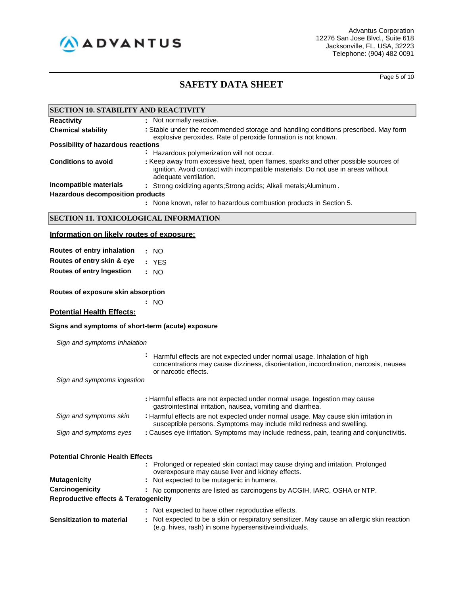

Page 5 of 10

| <b>SECTION 10. STABILITY AND REACTIVITY</b> |                                                                                                                                                                                                 |  |  |
|---------------------------------------------|-------------------------------------------------------------------------------------------------------------------------------------------------------------------------------------------------|--|--|
| <b>Reactivity</b>                           | : Not normally reactive.                                                                                                                                                                        |  |  |
| <b>Chemical stability</b>                   | : Stable under the recommended storage and handling conditions prescribed. May form<br>explosive peroxides. Rate of peroxide formation is not known.                                            |  |  |
| Possibility of hazardous reactions          |                                                                                                                                                                                                 |  |  |
|                                             | Hazardous polymerization will not occur.<br>$\sim$                                                                                                                                              |  |  |
| <b>Conditions to avoid</b>                  | : Keep away from excessive heat, open flames, sparks and other possible sources of<br>ignition. Avoid contact with incompatible materials. Do not use in areas without<br>adequate ventilation. |  |  |
| Incompatible materials                      | : Strong oxidizing agents; Strong acids; Alkali metals; Aluminum.                                                                                                                               |  |  |
| <b>Hazardous decomposition products</b>     |                                                                                                                                                                                                 |  |  |
|                                             | : None known, refer to hazardous combustion products in Section 5.                                                                                                                              |  |  |

# **SECTION 11. TOXICOLOGICAL INFORMATION**

# **Information on likely routes of exposure:**

| Routes of entry inhalation       | : NO  |
|----------------------------------|-------|
| Routes of entry skin & eye       | : YES |
| <b>Routes of entry Ingestion</b> | : NO  |

**Routes of exposure skin absorption**

**:** NO

# **Potential Health Effects:**

# **Signs and symptoms of short-term (acute) exposure**

| Sign and symptoms Inhalation |  |
|------------------------------|--|
|------------------------------|--|

|                                                  | Harmful effects are not expected under normal usage. Inhalation of high<br>concentrations may cause dizziness, disorientation, incoordination, narcosis, nausea<br>or narcotic effects. |
|--------------------------------------------------|-----------------------------------------------------------------------------------------------------------------------------------------------------------------------------------------|
| Sign and symptoms ingestion                      |                                                                                                                                                                                         |
|                                                  | : Harmful effects are not expected under normal usage. Ingestion may cause<br>gastrointestinal irritation, nausea, vomiting and diarrhea.                                               |
| Sign and symptoms skin                           | : Harmful effects are not expected under normal usage. May cause skin irritation in<br>susceptible persons. Symptoms may include mild redness and swelling.                             |
| Sign and symptoms eyes                           | : Causes eye irritation. Symptoms may include redness, pain, tearing and conjunctivitis.                                                                                                |
| <b>Potential Chronic Health Effects</b>          |                                                                                                                                                                                         |
|                                                  | : Prolonged or repeated skin contact may cause drying and irritation. Prolonged<br>overexposure may cause liver and kidney effects.                                                     |
| Mutagenicity                                     | : Not expected to be mutagenic in humans.                                                                                                                                               |
| Carcinogenicity                                  | : No components are listed as carcinogens by ACGIH, IARC, OSHA or NTP.                                                                                                                  |
| <b>Reproductive effects &amp; Teratogenicity</b> |                                                                                                                                                                                         |
|                                                  | : Not expected to have other reproductive effects.                                                                                                                                      |
| <b>Sensitization to material</b>                 | : Not expected to be a skin or respiratory sensitizer. May cause an allergic skin reaction<br>(e.g. hives, rash) in some hypersensitive individuals.                                    |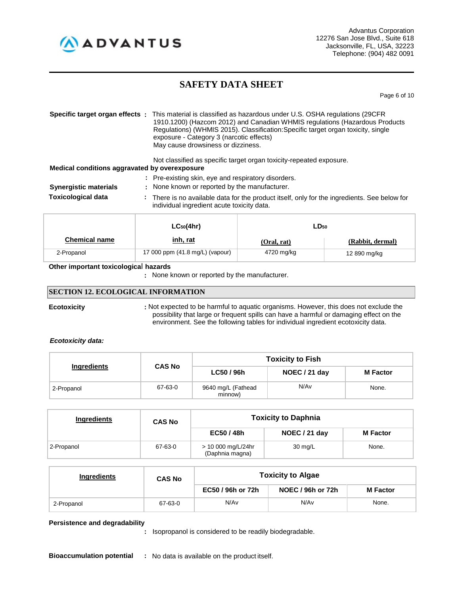

Page 6 of 10

|                                               | <b>Specific target organ effects</b> : This material is classified as hazardous under U.S. OSHA regulations (29CFR<br>1910.1200) (Hazcom 2012) and Canadian WHMIS regulations (Hazardous Products<br>Regulations) (WHMIS 2015). Classification: Specific target organ toxicity, single<br>exposure - Category 3 (narcotic effects)<br>May cause drowsiness or dizziness. |  |  |
|-----------------------------------------------|--------------------------------------------------------------------------------------------------------------------------------------------------------------------------------------------------------------------------------------------------------------------------------------------------------------------------------------------------------------------------|--|--|
| Medical conditions aggravated by overexposure | Not classified as specific target organ toxicity-repeated exposure.                                                                                                                                                                                                                                                                                                      |  |  |
| <b>Synergistic materials</b>                  | : Pre-existing skin, eye and respiratory disorders.<br>: None known or reported by the manufacturer.                                                                                                                                                                                                                                                                     |  |  |
| <b>Toxicological data</b>                     | : There is no available data for the product itself, only for the ingredients. See below for<br>individual ingredient acute toxicity data.                                                                                                                                                                                                                               |  |  |

|                      | $LC_{50}(4hr)$                  | LD <sub>50</sub> |                  |
|----------------------|---------------------------------|------------------|------------------|
| <b>Chemical name</b> | <u>inh, rat</u>                 | (Oral, rat)      | (Rabbit, dermal) |
| 2-Propanol           | 17 000 ppm (41.8 mg/L) (vapour) | 4720 mg/kg       | 12 890 mg/kg     |

## **Other important toxicologica**l **hazards**

**:** None known or reported by the manufacturer.

# **SECTION 12. ECOLOGICAL INFORMATION**

**Ecotoxicity :** Not expected to be harmful to aquatic organisms. However, this does not exclude the possibility that large or frequent spills can have a harmful or damaging effect on the environment. See the following tables for individual ingredient ecotoxicity data.

#### *Ecotoxicity data:*

| Ingredients |               |                               | <b>Toxicity to Fish</b> |                 |
|-------------|---------------|-------------------------------|-------------------------|-----------------|
|             | <b>CAS No</b> | LC50 / 96h                    | NOEC / 21 day           | <b>M</b> Factor |
| 2-Propanol  | 67-63-0       | 9640 mg/L (Fathead<br>minnow) | N/A <sub>v</sub>        | None.           |

| Ingredients | <b>CAS No</b> |                                       | <b>Toxicity to Daphnia</b> |                 |  |  |
|-------------|---------------|---------------------------------------|----------------------------|-----------------|--|--|
|             |               | EC50 / 48h                            | NOEC / 21 day              | <b>M</b> Factor |  |  |
| 2-Propanol  | 67-63-0       | > 10 000 mg/L/24hr<br>(Daphnia magna) | 30 mg/L                    | None.           |  |  |

| Ingredients | <b>CAS No</b> | <b>Toxicity to Algae</b> |                          |                 |  |  |
|-------------|---------------|--------------------------|--------------------------|-----------------|--|--|
|             |               | EC50 / 96h or 72h        | <b>NOEC / 96h or 72h</b> | <b>M</b> Factor |  |  |
| 2-Propanol  | 67-63-0       | N/Av                     | N/Av                     | None.           |  |  |

# **Persistence and degradability**

**:** Isopropanol is considered to be readily biodegradable.

**Bioaccumulation potential :** No data is available on the product itself.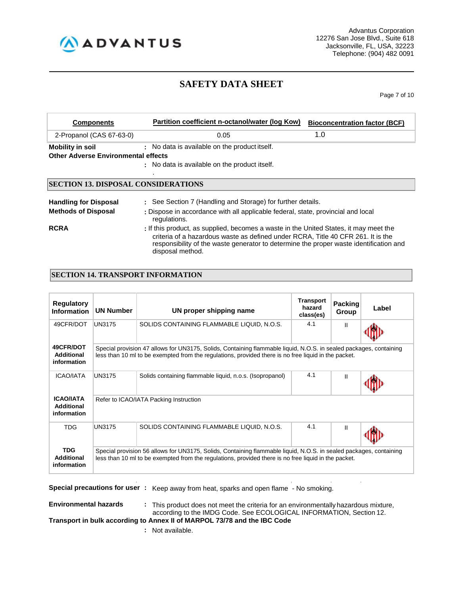

Page 7 of 10

| <b>Components</b>                          | Partition coefficient n-octanol/water (log Kow)                                                                                                                                                                                                                                         | <b>Bioconcentration factor (BCF)</b> |
|--------------------------------------------|-----------------------------------------------------------------------------------------------------------------------------------------------------------------------------------------------------------------------------------------------------------------------------------------|--------------------------------------|
| 2-Propanol (CAS 67-63-0)                   | 0.05                                                                                                                                                                                                                                                                                    | 1.0                                  |
| <b>Mobility in soil</b>                    | : No data is available on the product itself.                                                                                                                                                                                                                                           |                                      |
| <b>Other Adverse Environmental effects</b> |                                                                                                                                                                                                                                                                                         |                                      |
|                                            | : No data is available on the product itself.                                                                                                                                                                                                                                           |                                      |
| <b>SECTION 13. DISPOSAL CONSIDERATIONS</b> |                                                                                                                                                                                                                                                                                         |                                      |
| <b>Handling for Disposal</b>               | : See Section 7 (Handling and Storage) for further details.                                                                                                                                                                                                                             |                                      |
| <b>Methods of Disposal</b>                 | : Dispose in accordance with all applicable federal, state, provincial and local<br>regulations.                                                                                                                                                                                        |                                      |
| <b>RCRA</b>                                | : If this product, as supplied, becomes a waste in the United States, it may meet the<br>criteria of a hazardous waste as defined under RCRA, Title 40 CFR 261. It is the<br>responsibility of the waste generator to determine the proper waste identification and<br>disposal method. |                                      |

# **SECTION 14. TRANSPORT INFORMATION**

| <b>Regulatory</b><br><b>Information</b>              | <b>UN Number</b>                                                                                                                                                                                                           | UN proper shipping name                                                                                                                                                                                                    | <b>Transport</b><br>hazard<br>class(es) | <b>Packing</b><br>Group | Label |  |  |
|------------------------------------------------------|----------------------------------------------------------------------------------------------------------------------------------------------------------------------------------------------------------------------------|----------------------------------------------------------------------------------------------------------------------------------------------------------------------------------------------------------------------------|-----------------------------------------|-------------------------|-------|--|--|
| 49CFR/DOT                                            | UN3175                                                                                                                                                                                                                     | SOLIDS CONTAINING FLAMMABLE LIQUID, N.O.S.                                                                                                                                                                                 | 4.1                                     | Ш                       |       |  |  |
| 49CFR/DOT<br>Additional<br>information               |                                                                                                                                                                                                                            | Special provision 47 allows for UN3175, Solids, Containing flammable liquid, N.O.S. in sealed packages, containing<br>less than 10 ml to be exempted from the regulations, provided there is no free liquid in the packet. |                                         |                         |       |  |  |
| <b>ICAO/IATA</b>                                     | UN3175                                                                                                                                                                                                                     | Solids containing flammable liquid, n.o.s. (Isopropanol)                                                                                                                                                                   | 4.1                                     | Ш                       |       |  |  |
| <b>ICAO/IATA</b><br><b>Additional</b><br>information | Refer to ICAO/IATA Packing Instruction                                                                                                                                                                                     |                                                                                                                                                                                                                            |                                         |                         |       |  |  |
| <b>TDG</b>                                           | UN3175                                                                                                                                                                                                                     | 4.1<br>SOLIDS CONTAINING FLAMMABLE LIQUID, N.O.S.<br>Ш                                                                                                                                                                     |                                         |                         |       |  |  |
| <b>TDG</b><br>Additional<br>information              | Special provision 56 allows for UN3175, Solids, Containing flammable liquid, N.O.S. in sealed packages, containing<br>less than 10 ml to be exempted from the regulations, provided there is no free liquid in the packet. |                                                                                                                                                                                                                            |                                         |                         |       |  |  |

**Special precautions for user :** Keep away from heat, sparks and open flame - No smoking.

**Environmental hazards :** This product does not meet the criteria for an environmentally hazardous mixture, according to the IMDG Code. See ECOLOGICAL INFORMATION, Section 12. **Transport in bulk according to Annex II of MARPOL 73/78 and the IBC Code**

**:** Not available.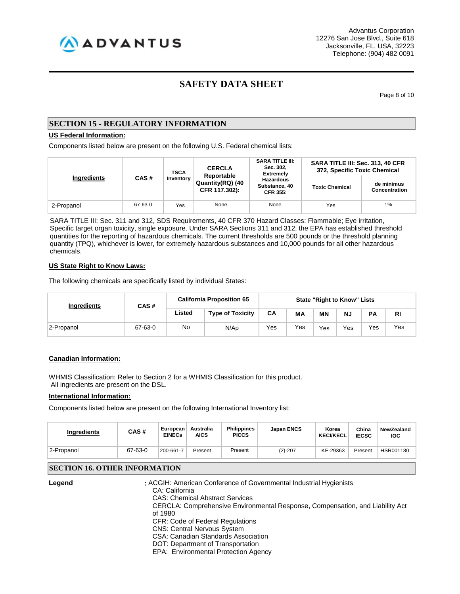AADVANTUS

Advantus Corporation 12276 San Jose Blvd., Suite 618 Jacksonville, FL, USA, 32223 Telephone: (904) 482 0091

# **SAFETY DATA SHEET**

Page 8 of 10

# **SECTION 15 - REGULATORY INFORMATION**

# **US Federal Information:**

Components listed below are present on the following U.S. Federal chemical lists:

|             |         | <b>CERCLA</b><br><b>TSCA</b><br>Reportable |                                   | <b>SARA TITLE III:</b><br>Sec. 302,<br><b>Extremely</b> | SARA TITLE III: Sec. 313, 40 CFR<br>372, Specific Toxic Chemical |                             |  |
|-------------|---------|--------------------------------------------|-----------------------------------|---------------------------------------------------------|------------------------------------------------------------------|-----------------------------|--|
| Ingredients | CAS#    | Inventory                                  | Quantity(RQ) (40<br>CFR 117.302): | <b>Hazardous</b><br>Substance, 40<br><b>CFR 355:</b>    | <b>Toxic Chemical</b>                                            | de minimus<br>Concentration |  |
| 2-Propanol  | 67-63-0 | Yes                                        | None.                             | None.                                                   | Yes                                                              | 1%                          |  |

SARA TITLE III: Sec. 311 and 312, SDS Requirements, 40 CFR 370 Hazard Classes: Flammable; Eye irritation, Specific target organ toxicity, single exposure. Under SARA Sections 311 and 312, the EPA has established threshold quantities for the reporting of hazardous chemicals. The current thresholds are 500 pounds or the threshold planning quantity (TPQ), whichever is lower, for extremely hazardous substances and 10,000 pounds for all other hazardous chemicals.

#### **US State Right to Know Laws:**

The following chemicals are specifically listed by individual States:

| Ingredients | CAS#    | <b>California Proposition 65</b> | <b>State "Right to Know" Lists</b> |     |     |                             |     |              |           |
|-------------|---------|----------------------------------|------------------------------------|-----|-----|-----------------------------|-----|--------------|-----------|
|             |         | Listed                           | <b>Type of Toxicity</b>            | CA  | МA  | <b>MN</b>                   | Ν., | <b>PA</b>    | <b>RI</b> |
| 2-Propanol  | 67-63-0 | No                               | N/Ap                               | Yes | Yes | $V_{\mathsf{e} \mathsf{s}}$ | Yes | $v_{\rm es}$ | Yes       |

# **Canadian Information:**

WHMIS Classification: Refer to Section 2 for a WHMIS Classification for this product. All ingredients are present on the DSL.

## **International Information:**

Components listed below are present on the following International Inventory list:

| <b>Ingredients</b> | CAS#    | European<br><b>EINECs</b> | Australia<br><b>AICS</b> | <b>Philippines</b><br><b>PICCS</b> | <b>Japan ENCS</b> | Korea<br><b>KECI/KECL</b> | China<br><b>IECSC</b> | NewZealand<br><b>IOC</b> |
|--------------------|---------|---------------------------|--------------------------|------------------------------------|-------------------|---------------------------|-----------------------|--------------------------|
| 2-Propanol         | 67-63-0 | 200-661-7                 | Present                  | Present                            | $(2)-207$         | KE-29363                  | Present               | HSR001180                |

# **SECTION 16. OTHER INFORMATION**

**Legend :** ACGIH: American Conference of Governmental Industrial Hygienists CA: California CAS: Chemical Abstract Services CERCLA: Comprehensive Environmental Response, Compensation, and Liability Act of 1980 CFR: Code of Federal Regulations CNS: Central Nervous System CSA: Canadian Standards Association

DOT: Department of Transportation

EPA: Environmental Protection Agency